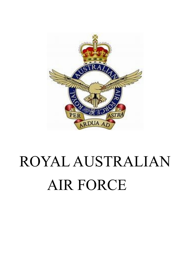

# ROYAL AUSTRALIAN AIR FORCE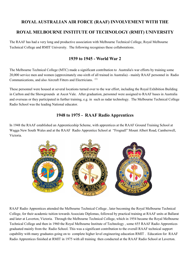# **ROYAL AUSTRALIAN AIR FORCE (RAAF) INVOLVEMENT WITH THE ROYAL MELBOURNE INSTITUTE OF TECHNOLOGY (RMIT) UNIVERSITY**

The RAAF has had a very long and productive association with Melbourne Technical College, Royal Melbourne Technical College and RMIT University. The following recognises these collaborations.

### **1939 to 1945 - World War 2**

The Melbourne Technical College (MTC) made a significant contribution to Australia's war efforts by training some 20,000 service men and women (approximately one-sixth of all trained in Australia) - mainly RAAF personnel in Radio Communications, and also Aircraft Fitters and Electricians. (1)

These personnel were housed at several locations turned over to the war effort, including the Royal Exhibition Building in Carlton and the Showgrounds at Ascot Vale. After graduation, personnel were assigned to RAAF bases in Australia and overseas or they participated in further training, e.g. in such as radar technology. The Melbourne Technical College Radio School was the leading National educator.

#### **1948 to 1975 - RAAF Radio Apprentices**

In 1948 the RAAF established an Apprenticeship Scheme, with apprentices at the RAAF Ground Training School at Wagga New South Wales and at the RAAF Radio Apprentice School at "Frognall" Mount Albert Road, Camberwell, Victoria.



RAAF Radio Apprentices attended the Melbourne Technical College , later becoming the Royal Melbourne Technical College, for their academic tuition towards Associate Diplomas, followed by practical training at RAAF units at Ballarat and later at Laverton, Victoria. Through the Melbourne Technical College, which in 1954 became the Royal Melbourne Technical College and then in 1960 the Royal Melbourne Institute of Technology , some 655 RAAF Radio Apprentices graduated mainly from the Radio School. This was a significant contribution to the overall RAAF technical support capability with many graduates going on to complete higher level engineering education RMIT . Education for RAAF Radio Apprentices finished at RMIT in 1975 with all training then conducted at the RAAF Radio School at Laverton.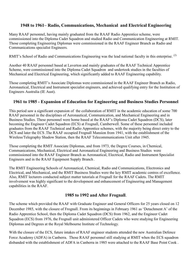## **1948 to 1961– Radio, Communications, Mechanical and Electrical Engineering**

Many RAAF personnel, having mainly graduated from the RAAF Radio Apprentice scheme, were commissioned into the Diploma Cadet Squadron and studied Radio and Communication Engineering at RMIT. Those completing Engineering Diplomas were commissioned in the RAAF Engineer Branch as Radio and Communications specialist Engineers.

RMIT's School of Radio and Communications Engineering was the lead national faculty in this enterprise. <sup>(2)</sup>

Another 40 RAAF personnel based at Laverton and mainly graduates of the RAAF Technical Apprentice Scheme, were commissioned into the Diploma Cadet Squadron and undertook studies in the faculties of Mechanical and Electrical Engineering, which significantly added to RAAF Engineering capability.

Those completing RMIT's Associate Diplomas were commissioned in the RAAF Engineer Branch as Radio, Aeronautical, Electrical and Instrument specialist engineers, and achieved qualifying entry for the Institution of Engineers Australia (IE Aust).

### **1961 to 1985 - Expansion of Education for Engineering and Business Studies Personnel**

This period saw a significant expansion of the collaboration of RMIT in the academic education of some 700 RAAF personnel in the disciplines of Aeronautical, Communication, and Mechanical Engineering and in Business Studies. These personnel were home based at the RAAF's Diploma Cadet Squadron (DCS), later becoming the Engineer Cadet Squadron (ECS) at Frognall, Camberwell. Some of these personnel included graduates from the RAAF Technical and Radio Apprentice schemes, with the majority being direct entry to the DCS and later the ECS .The RAAF occupied Frognall Mansion from 1941, with the establishment of the Wireless/Telegraphy Shadow Station, then the RAAF Telecommunications Unit after 1945.

Those completing the RMIT Associate Diplomas, and from 1973, the Degree Courses, in Chemical, Communications, Mechanical, Electrical and Aeronautical Engineering and Business Studies were commissioned into the RAAF Engineer Branch as Aeronautical, Electrical, Radio and Instrument Specialist Engineers and in the RAAF Equipment Supply Branch .

The RMIT Engineering Schools of Aeronautical, Chemical, Radio and Communications, Electronics and Electrical, and Mechanical, and the RMIT Business Studies were the key RMIT academic centres of excellence. Also, RMIT lecturers conducted subject matter tutorials at Frognall for the RAAF Cadets. The RMIT involvement was highly significant to the development and enhancement of Engineering and Management capabilities in the RAAF.

#### **1985 to 1992 and After Frognall**.

The scheme which provided the RAAF with Graduate Engineer and General Officers for 25 years closed on 12 December 1985, with the closure of Frognall. From its beginnings in February 1961 as 'Detachment A' of the Radio Apprentice School, then the Diploma Cadet Squadron (DCS) from 1962, and the Engineer Cadet Squadron (ECS) from 1976, the Frognall unit administered Officer Cadets who were studying for Engineering Diplomas and Degrees at the Royal Melbourne Institute of Technology.

With the closure of the ECS, future intakes of RAAF engineer students attended the new Australian Defence Force Academy (ADFA) in Canberra. Those RAAF personnel still studying at RMIT when the ECS squadron disbanded with the establishment of ADFA in Canberra in 1985 were attached to the RAAF Base Point Cook .